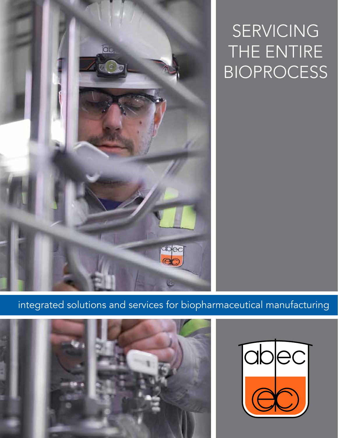

SERVICING THE ENTIRE BIOPROCESS

integrated solutions and services for biopharmaceutical manufacturing



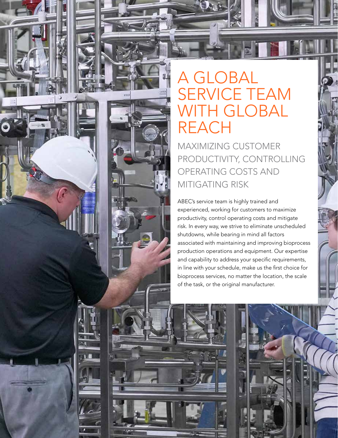# A GLOBAL SERVICE TEAM WITH GLOBAL REACH

MAXIMIZING CUSTOMER PRODUCTIVITY, CONTROLLING OPERATING COSTS AND MITIGATING RISK

ABEC's service team is highly trained and experienced, working for customers to maximize productivity, control operating costs and mitigate risk. In every way, we strive to eliminate unscheduled shutdowns, while bearing in mind all factors associated with maintaining and improving bioprocess production operations and equipment. Our expertise and capability to address your specific requirements, in line with your schedule, make us the first choice for bioprocess services, no matter the location, the scale of the task, or the original manufacturer.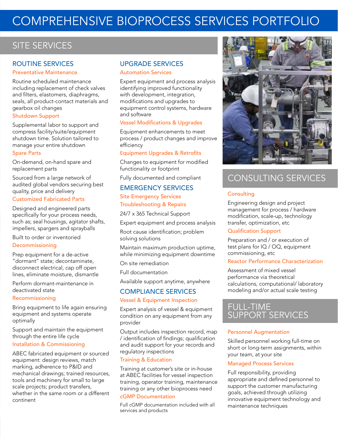# COMPREHENSIVE BIOPROCESS SERVICES PORTFOLIO

# SITE SERVICES

# ROUTINE SERVICES

#### Preventative Maintenance

Routine scheduled maintenance including replacement of check valves and filters, elastomers, diaphragms, seals, all product-contact materials and gearbox oil changes

## Shutdown Support

Supplemental labor to support and compress facility/suite/equipment shutdown time. Solution tailored to manage your entire shutdown

## Spare Parts

On-demand, on-hand spare and replacement parts

Sourced from a large network of audited global vendors securing best quality, price and delivery

#### Customized Fabricated Parts

Designed and engineered parts specifically for your process needs, such as; seal housings, agitator shafts, impellers, spargers and sprayballs

Built to order or inventoried Decommissioning

Prep equipment for a de-active "dormant" state; decontaminate, disconnect electrical, cap off open lines, eliminate moisture, dismantle

Perform dormant-maintenance in deactivated state

## Recommissioning

Bring equipment to life again ensuring equipment and systems operate optimally

Support and maintain the equipment through the entire life cycle

# Installation & Commissioning

ABEC fabricated equipment or sourced equipment: design reviews, match marking, adherence to P&ID and mechanical drawings; trained resources, tools and machinery for small to large scale projects; product transfers, whether in the same room or a different continent

# UPGRADE SERVICES

#### Automation Services

Expert equipment and process analysis identifying improved functionality with development, integration, modifications and upgrades to equipment control systems, hardware and software

## Vessel Modifications & Upgrades

Equipment enhancements to meet process / product changes and improve efficiency

#### Equipment Upgrades & Retrofits

Changes to equipment for modified functionality or footprint

Fully documented and compliant

## EMERGENCY SERVICES

Site Emergency Services Troubleshooting & Repairs

24/7 x 365 Technical Support

Expert equipment and process analysis

Root cause identification; problem solving solutions

Maintain maximum production uptime, while minimizing equipment downtime

On site remediation

Full documentation

Available support anytime, anywhere

# COMPLIANCE SERVICES

Vessel & Equipment Inspection

Expert analysis of vessel & equipment condition on any equipment from any provider

Output includes inspection record, map / identification of findings; qualification and audit support for your records and regulatory inspections

## Training & Education

Training at customer's site or in-house at ABEC facilities for vessel inspection training, operator training, maintenance training or any other bioprocess need

# cGMP Documentation

Full cGMP documentation included with all services and products



# CONSULTING SERVICES

## **Consulting**

Engineering design and project management for process / hardware modification, scale-up, technology transfer, optimization, etc

# Qualification Support

Preparation and / or execution of test plans for IQ / OQ, equipment commissioning, etc

## Reactor Performance Characterization

Assessment of mixed vessel performance via theoretical calculations, computational/ laboratory modeling and/or actual scale testing

# FULL-TIME SUPPORT SERVICES

## Personnel Augmentation

Skilled personnel working full-time on short or long-term assignments, within your team, at your site

## Managed Process Services

Full responsibility, providing appropriate and defined personnel to support the customer manufacturing goals, achieved through utilizing innovative equipment technology and maintenance techniques